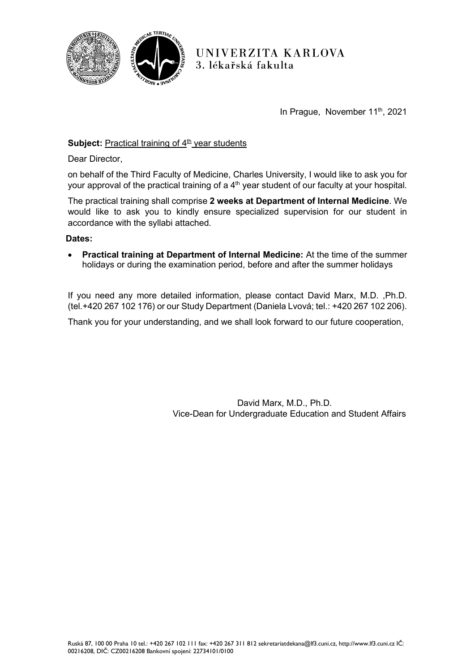

UNIVERZITA KARLOVA 3. lékařská fakulta

In Prague, November 11<sup>th</sup>, 2021

# **Subject:** Practical training of  $4<sup>th</sup>$  year students

Dear Director,

on behalf of the Third Faculty of Medicine, Charles University, I would like to ask you for your approval of the practical training of a  $4<sup>th</sup>$  year student of our faculty at your hospital.

The practical training shall comprise **2 weeks at Department of Internal Medicine**. We would like to ask you to kindly ensure specialized supervision for our student in accordance with the syllabi attached.

#### **Dates:**

• **Practical training at Department of Internal Medicine:** At the time of the summer holidays or during the examination period, before and after the summer holidays

If you need any more detailed information, please contact David Marx, M.D. ,Ph.D. (tel.+420 267 102 176) or our Study Department (Daniela Lvová; tel.: +420 267 102 206).

Thank you for your understanding, and we shall look forward to our future cooperation,

David Marx, M.D., Ph.D. Vice-Dean for Undergraduate Education and Student Affairs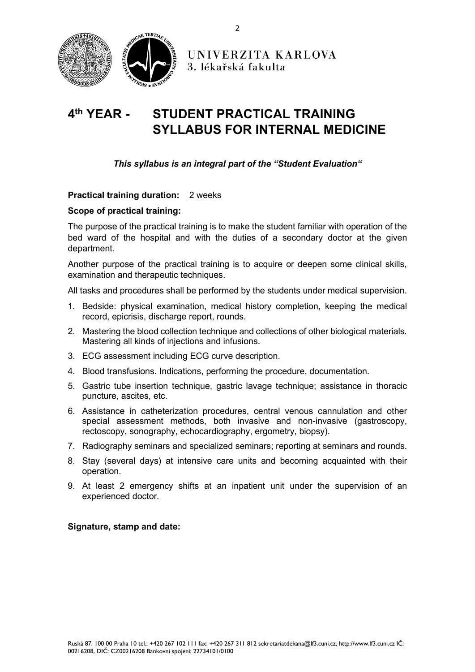

# **4th YEAR - STUDENT PRACTICAL TRAINING SYLLABUS FOR INTERNAL MEDICINE**

## *This syllabus is an integral part of the "Student Evaluation"*

#### **Practical training duration:** 2 weeks

#### **Scope of practical training:**

The purpose of the practical training is to make the student familiar with operation of the bed ward of the hospital and with the duties of a secondary doctor at the given department.

Another purpose of the practical training is to acquire or deepen some clinical skills, examination and therapeutic techniques.

All tasks and procedures shall be performed by the students under medical supervision.

- 1. Bedside: physical examination, medical history completion, keeping the medical record, epicrisis, discharge report, rounds.
- 2. Mastering the blood collection technique and collections of other biological materials. Mastering all kinds of injections and infusions.
- 3. ECG assessment including ECG curve description.
- 4. Blood transfusions. Indications, performing the procedure, documentation.
- 5. Gastric tube insertion technique, gastric lavage technique; assistance in thoracic puncture, ascites, etc.
- 6. Assistance in catheterization procedures, central venous cannulation and other special assessment methods, both invasive and non-invasive (gastroscopy, rectoscopy, sonography, echocardiography, ergometry, biopsy).
- 7. Radiography seminars and specialized seminars; reporting at seminars and rounds.
- 8. Stay (several days) at intensive care units and becoming acquainted with their operation.
- 9. At least 2 emergency shifts at an inpatient unit under the supervision of an experienced doctor.

#### **Signature, stamp and date:**